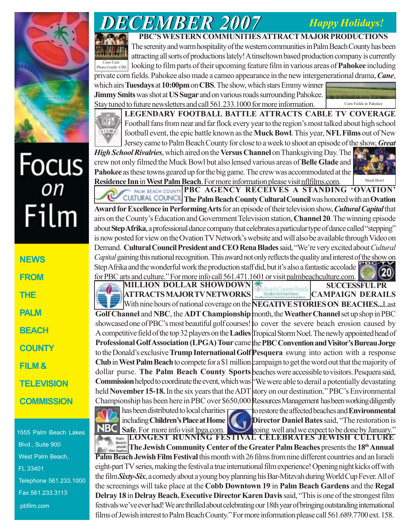## *Happy Holidays!*



# Focus<br><sub>on</sub> Film

**NEWS FROM THE PALM BEACH COUNTY FILM & TELEVISION COMMISSION**

1555 Palm Beach Lakes Blvd., Suite 900 West Palm Beach, FL 33401 Telephone 561.233.1000 Fax 561.233.3113 pbfilm.com

## *DECEMBER 2007 DECEMBER 2007*

### **PBC'S WESTERN COMMUNITIES ATTRACT MAJOR PRODUCTIONS**

The serenity and warm hospitality of the western communities in Palm Beach County has been attracting all sorts of productions lately! A tinseltown based production company is currently looking to film parts of their upcoming feature film in various areas of **Pahokee** including private corn fields. Pahokee also made a cameo appearance in the new intergenerational drama, *Cane*, which airs **Tuesdays** at **10:00pm** on **CBS**. The show, which stars Emmy winner *Cane* Cast: Photo Credit: CBS

**Jimmy Smits** was shot at **US Sugar** and on various roads surrounding Pahokee. Stay tuned to future newsletters and call 561.233.1000 for more information.





**LEGENDARY FOOTBALL BATTLE ATTRACTS CABLE TV COVERAGE** Football fans from near and far flock every year to the region's most talked about high school football event, the epic battle known as the **Muck Bowl**. This year, **NFL Films** out of New Jersey came to Palm Beach County for close to a week to shoot an episode of the show, *Great*

*High School Rivalries*, which aired on the **Versus Channel** on Thanksgiving Day. The crew not only filmed the Muck Bowl but also lensed various areas of **Belle Glade** and **Pahokee** as these towns geared up for the big game. The crew was accommodated at the **Residence Inn in West Palm Beach**. For more information please visit nflfilms.com.



PALM BEACH COUNTY PBC AGENCY RECEIVES A STANDING 'OVATION' **The Palm Beach County Cultural Council** was honored with an **Ovation Award for Excellence in Performing Arts** for an episode of their television show, *Cultural Capital* that airs on the County's Education and Government Television station, **Channel 20**. The winning episode about **Step Afrika**, a professional dance company that celebrates a particular type of dance called "stepping" is now posted for view on the Ovation TV Network's website and will also be available through Video on Demand. **Cultural Council President and CEO Rena Blades** said, "We're very excited about *Cultural Capital* gaining this national recognition. This award not only reflects the quality and interest of the show on Step Afrika and the wonderful work the production staff did, but it's also a fantastic accolade for PBC arts and culture." For more info call 561.471.1601 or visit palmbeachculture.com.

**CAMPAIGN DERAILS** With nine hours of national coverage on the **NEGATIVE STORIES ON BEACHES...**Last Golf Channel and NBC, the ADT Championship month, the Weather Channel set up shop in PBC showcased one of PBC's most beautiful golf courses! to cover the severe beach erosion caused by A competitive field of the top 32 players on the **Ladies** Tropical Storm Noel. The newly appointed head of Professional Golf Association (LPGA) Tour came the PBC Convention and Visitor's Bureau Jorge to the Donald's exclusive **Trump International Golf Pesquera** swung into action with a response **Club** in West Palm Beach to compete for a \$1 million campaign to get the word out that the majority of dollar purse. The Palm Beach County Sports beaches were accessible to visitors. Pesquera said, Commission helped to coordinate the event, which was <sup>{-</sup>We were able to derail a potentially devastating held **November 15-18.** In the six years that the ADT story on our destination." PBC's Environmental Championship has been here in PBC over \$650,000 Resources Management has been working diligently to restore the affected beaches and **Environmental Director Daniel Bates** said, "The restoration is **MILLION DOLLAR SHOWDOWN ATTRACTS MAJOR TV NETWORKS** has been distributed to local charities including **Children's Place at Home SUCCESSFUL PR**

**LONGEST RUNNING FESTIVAL CELEBRATES JEWISH CULTURE The Jewish Community Center of the Greater Palm Beaches** presents the 18<sup>th</sup> Annual **Palm Beach Jewish Film Festival** this month with 26 films from nine different countries and an Israeli eight-part TV series, making the festival a true international film experience! Opening night kicks off with the film *Sixty-Six*, a comedy about a young boy planning his Bar-Mitzvah during World Cup Fever. All of the screenings will take place at the **Cobb Downtown 19** in **Palm Beach Gardens** and the **Regal Delray 18** in **Delray Beach.Executive Director Karen Davis** said, "This is one of the strongest film festivals we've ever had! We are thrilled about celebrating our 18th year of bringing outstanding international films of Jewish interest to Palm Beach County." For more information please call 561.689.7700 ext. 158. Safe. For more info visit <u>lpga.com</u>. such and we expect to be done by January."